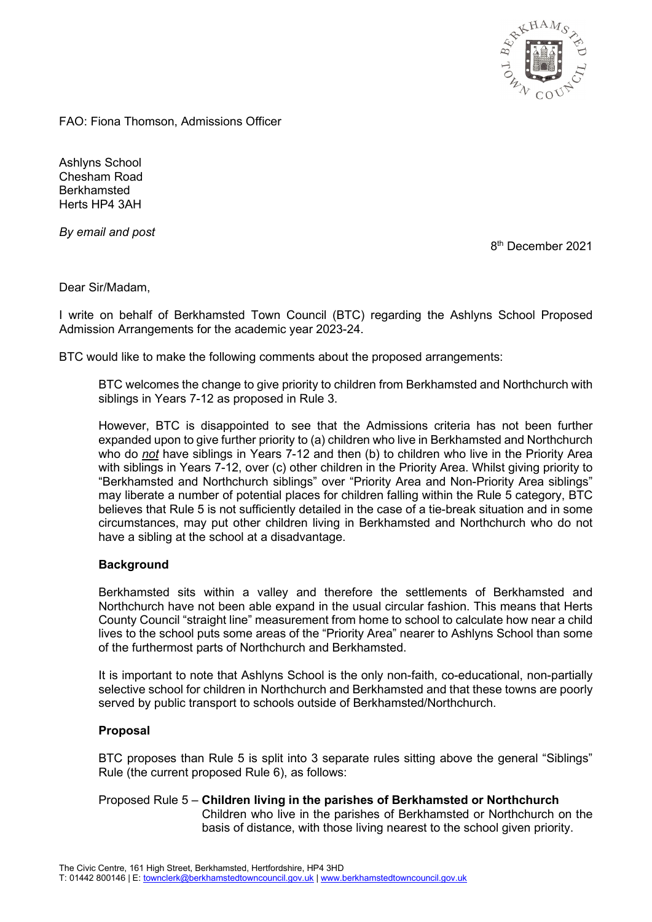

FAO: Fiona Thomson, Admissions Officer

Ashlyns School Chesham Road Berkhamsted Herts HP4 3AH

*By email and post*

8<sup>th</sup> December 2021

Dear Sir/Madam,

I write on behalf of Berkhamsted Town Council (BTC) regarding the Ashlyns School Proposed Admission Arrangements for the academic year 2023-24.

BTC would like to make the following comments about the proposed arrangements:

BTC welcomes the change to give priority to children from Berkhamsted and Northchurch with siblings in Years 7-12 as proposed in Rule 3.

However, BTC is disappointed to see that the Admissions criteria has not been further expanded upon to give further priority to (a) children who live in Berkhamsted and Northchurch who do *not* have siblings in Years 7-12 and then (b) to children who live in the Priority Area with siblings in Years 7-12, over (c) other children in the Priority Area. Whilst giving priority to "Berkhamsted and Northchurch siblings" over "Priority Area and Non-Priority Area siblings" may liberate a number of potential places for children falling within the Rule 5 category, BTC believes that Rule 5 is not sufficiently detailed in the case of a tie-break situation and in some circumstances, may put other children living in Berkhamsted and Northchurch who do not have a sibling at the school at a disadvantage.

## **Background**

Berkhamsted sits within a valley and therefore the settlements of Berkhamsted and Northchurch have not been able expand in the usual circular fashion. This means that Herts County Council "straight line" measurement from home to school to calculate how near a child lives to the school puts some areas of the "Priority Area" nearer to Ashlyns School than some of the furthermost parts of Northchurch and Berkhamsted.

It is important to note that Ashlyns School is the only non-faith, co-educational, non-partially selective school for children in Northchurch and Berkhamsted and that these towns are poorly served by public transport to schools outside of Berkhamsted/Northchurch.

## **Proposal**

BTC proposes than Rule 5 is split into 3 separate rules sitting above the general "Siblings" Rule (the current proposed Rule 6), as follows:

Proposed Rule 5 – **Children living in the parishes of Berkhamsted or Northchurch** Children who live in the parishes of Berkhamsted or Northchurch on the basis of distance, with those living nearest to the school given priority.